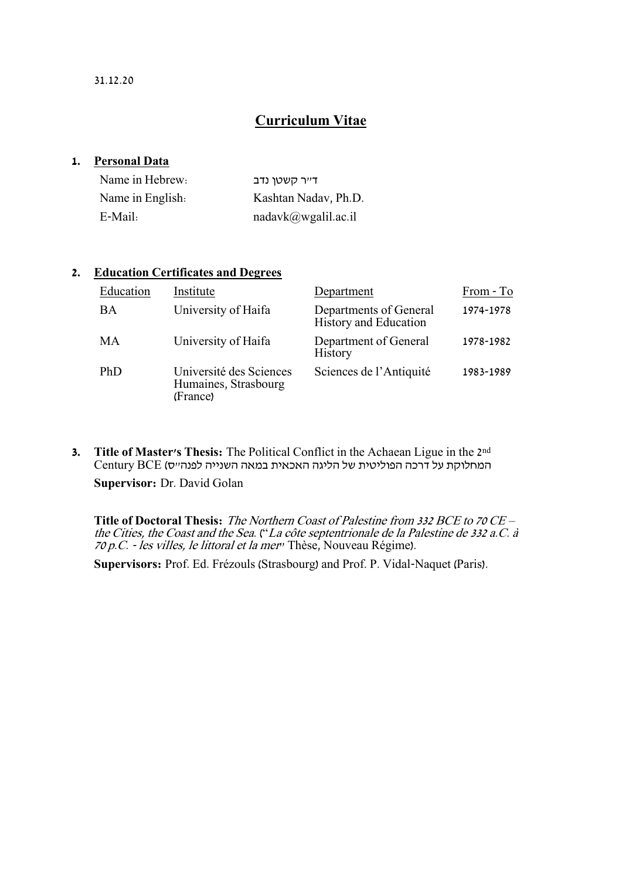## **Curriculum Vitae**

#### **1. Personal Data**

| Name in Hebrew:  | דייר קשטו נדב        |
|------------------|----------------------|
| Name in English. | Kashtan Nadav, Ph.D. |
| E-Mail:          | nadavk@wgalil.ac.i   |

### **2. Education Certificates and Degrees**

| Education  | Institute                                                   | Department                                      | From - To |
|------------|-------------------------------------------------------------|-------------------------------------------------|-----------|
| BA         | University of Haifa                                         | Departments of General<br>History and Education | 1974-1978 |
| MA         | University of Haifa                                         | Department of General<br><b>History</b>         | 1978-1982 |
| <b>PhD</b> | Université des Sciences<br>Humaines, Strasbourg<br>(France) | Sciences de l'Antiquité                         | 1983-1989 |

**3. Title of Master's Thesis:** The Political Conflict in the Achaean Ligue in the 2nd המחלוקת על דרכה הפוליטית של הליגה האכאית במאה השנייה לפנה"ס( BCE Century

**Supervisor:** Dr. David Golan

**Title of Doctoral Thesis:** The Northern Coast of Palestine from 332 BCE to 70 CE – the Cities, the Coast and the Sea. ("La côte septentrionale de la Palestine de 332 a.C. à 70 p.C. - les villes, le littoral et la mer" Thèse, Nouveau Régime).

**Supervisors:** Prof. Ed. Frézouls (Strasbourg) and Prof. P. Vidal-Naquet (Paris).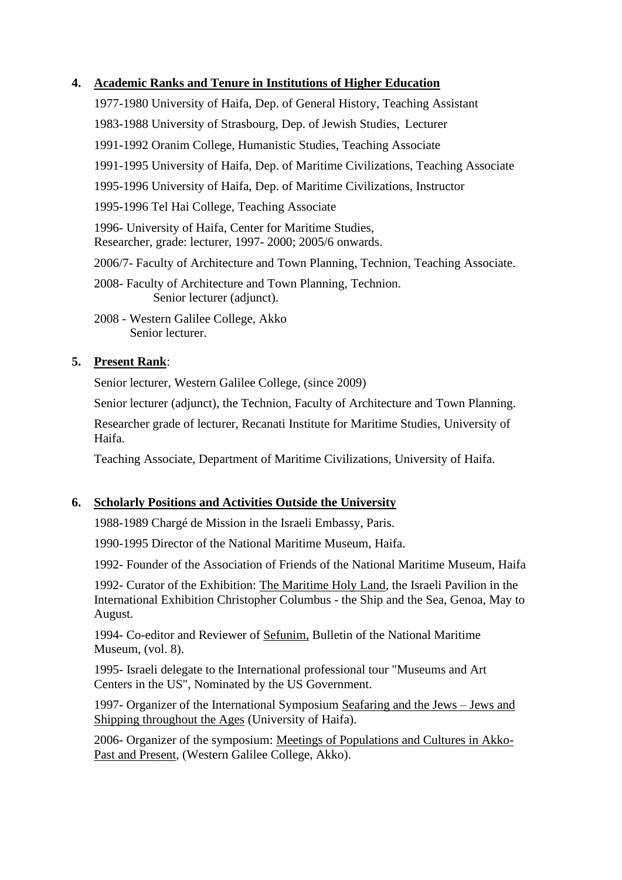### **4. Academic Ranks and Tenure in Institutions of Higher Education**

1977-1980 University of Haifa, Dep. of General History, Teaching Assistant 1983-1988 University of Strasbourg, Dep. of Jewish Studies, Lecturer 1991-1992 Oranim College, Humanistic Studies, Teaching Associate 1991-1995 University of Haifa, Dep. of Maritime Civilizations, Teaching Associate 1995-1996 University of Haifa, Dep. of Maritime Civilizations, Instructor 1995-1996 Tel Hai College, Teaching Associate 1996- University of Haifa, Center for Maritime Studies, Researcher, grade: lecturer, 1997- 2000; 2005/6 onwards. 2006/7- Faculty of Architecture and Town Planning, Technion, Teaching Associate. 2008- Faculty of Architecture and Town Planning, Technion. Senior lecturer (adjunct).

2008 - Western Galilee College, Akko Senior lecturer.

### **5. Present Rank**:

Senior lecturer, Western Galilee College, (since 2009)

Senior lecturer (adjunct), the Technion, Faculty of Architecture and Town Planning.

Researcher grade of lecturer, Recanati Institute for Maritime Studies, University of Haifa.

Teaching Associate, Department of Maritime Civilizations, University of Haifa.

### **6. Scholarly Positions and Activities Outside the University**

1988-1989 Chargé de Mission in the Israeli Embassy, Paris.

1990-1995 Director of the National Maritime Museum, Haifa.

1992- Founder of the Association of Friends of the National Maritime Museum, Haifa

1992- Curator of the Exhibition: The Maritime Holy Land, the Israeli Pavilion in the International Exhibition Christopher Columbus - the Ship and the Sea, Genoa, May to August.

1994- Co-editor and Reviewer of Sefunim, Bulletin of the National Maritime Museum, (vol. 8).

1995- Israeli delegate to the International professional tour "Museums and Art Centers in the US", Nominated by the US Government.

1997- Organizer of the International Symposium Seafaring and the Jews – Jews and Shipping throughout the Ages (University of Haifa).

2006- Organizer of the symposium: Meetings of Populations and Cultures in Akko-Past and Present, (Western Galilee College, Akko).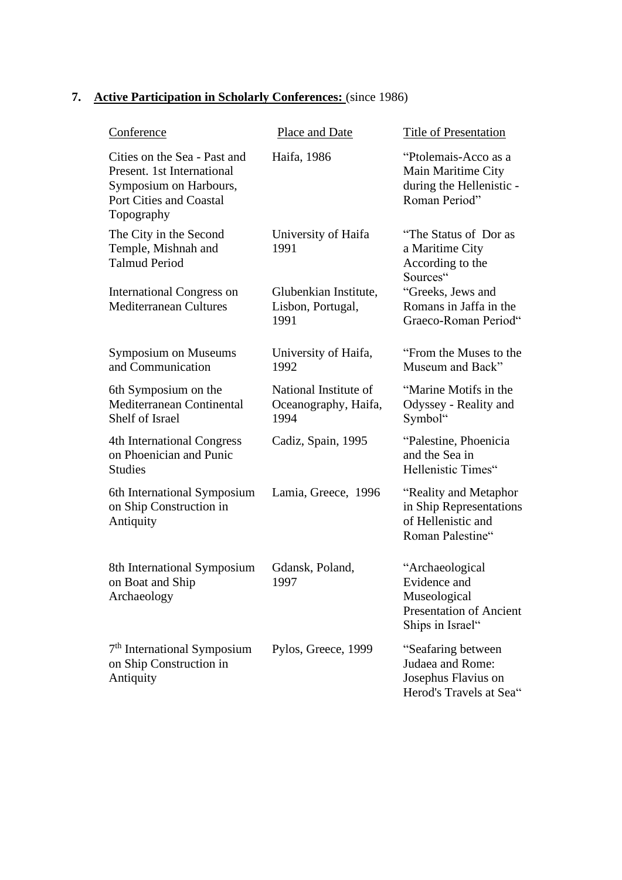# **7. Active Participation in Scholarly Conferences:** (since 1986)

| Conference                                                                                                                           | Place and Date                                        | Title of Presentation                                                                                 |
|--------------------------------------------------------------------------------------------------------------------------------------|-------------------------------------------------------|-------------------------------------------------------------------------------------------------------|
| Cities on the Sea - Past and<br>Present. 1st International<br>Symposium on Harbours,<br><b>Port Cities and Coastal</b><br>Topography | Haifa, 1986                                           | "Ptolemais-Acco as a<br>Main Maritime City<br>during the Hellenistic -<br>Roman Period"               |
| The City in the Second<br>Temple, Mishnah and<br><b>Talmud Period</b>                                                                | University of Haifa<br>1991                           | "The Status of Dor as<br>a Maritime City<br>According to the<br>Sources"                              |
| <b>International Congress on</b><br><b>Mediterranean Cultures</b>                                                                    | Glubenkian Institute,<br>Lisbon, Portugal,<br>1991    | "Greeks, Jews and<br>Romans in Jaffa in the<br>Graeco-Roman Period"                                   |
| <b>Symposium on Museums</b><br>and Communication                                                                                     | University of Haifa,<br>1992                          | "From the Muses to the<br>Museum and Back"                                                            |
| 6th Symposium on the<br>Mediterranean Continental<br>Shelf of Israel                                                                 | National Institute of<br>Oceanography, Haifa,<br>1994 | "Marine Motifs in the<br>Odyssey - Reality and<br>Symbol"                                             |
| 4th International Congress<br>on Phoenician and Punic<br><b>Studies</b>                                                              | Cadiz, Spain, 1995                                    | "Palestine, Phoenicia<br>and the Sea in<br>Hellenistic Times"                                         |
| 6th International Symposium<br>on Ship Construction in<br>Antiquity                                                                  | Lamia, Greece, 1996                                   | "Reality and Metaphor"<br>in Ship Representations<br>of Hellenistic and<br>Roman Palestine"           |
| 8th International Symposium<br>on Boat and Ship<br>Archaeology                                                                       | Gdansk, Poland,<br>1997                               | "Archaeological<br>Evidence and<br>Museological<br><b>Presentation of Ancient</b><br>Ships in Israel" |
| 7 <sup>th</sup> International Symposium<br>on Ship Construction in<br>Antiquity                                                      | Pylos, Greece, 1999                                   | "Seafaring between<br>Judaea and Rome:<br>Josephus Flavius on<br>Herod's Travels at Sea"              |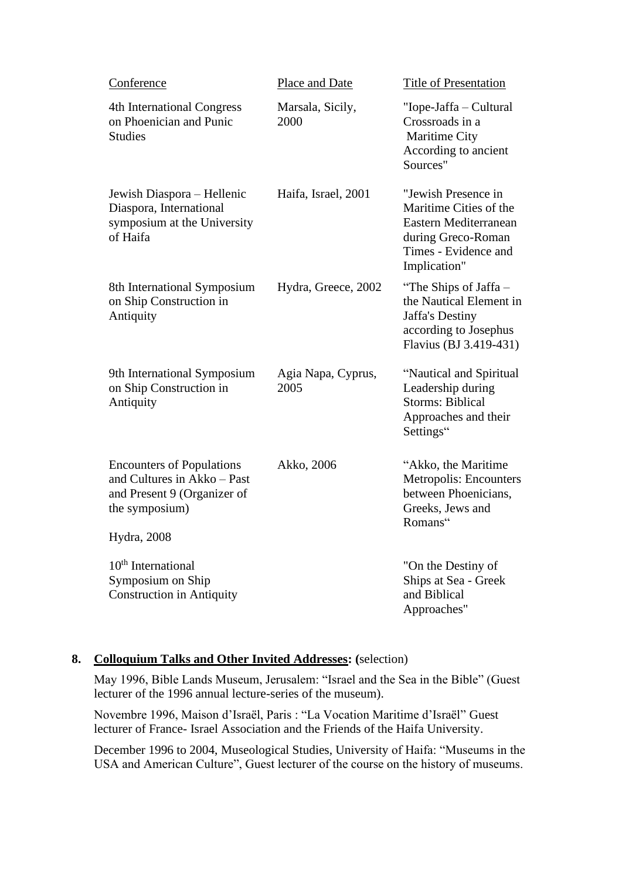| Conference                                                                                                       | Place and Date             | <b>Title of Presentation</b>                                                                                                         |
|------------------------------------------------------------------------------------------------------------------|----------------------------|--------------------------------------------------------------------------------------------------------------------------------------|
| 4th International Congress<br>on Phoenician and Punic<br><b>Studies</b>                                          | Marsala, Sicily,<br>2000   | "Iope-Jaffa – Cultural<br>Crossroads in a<br>Maritime City<br>According to ancient<br>Sources"                                       |
| Jewish Diaspora - Hellenic<br>Diaspora, International<br>symposium at the University<br>of Haifa                 | Haifa, Israel, 2001        | "Jewish Presence in<br>Maritime Cities of the<br>Eastern Mediterranean<br>during Greco-Roman<br>Times - Evidence and<br>Implication" |
| 8th International Symposium<br>on Ship Construction in<br>Antiquity                                              | Hydra, Greece, 2002        | "The Ships of Jaffa –<br>the Nautical Element in<br><b>Jaffa's Destiny</b><br>according to Josephus<br>Flavius (BJ 3.419-431)        |
| 9th International Symposium<br>on Ship Construction in<br>Antiquity                                              | Agia Napa, Cyprus,<br>2005 | "Nautical and Spiritual<br>Leadership during<br><b>Storms: Biblical</b><br>Approaches and their<br>Settings"                         |
| <b>Encounters of Populations</b><br>and Cultures in Akko - Past<br>and Present 9 (Organizer of<br>the symposium) | Akko, 2006                 | "Akko, the Maritime<br>Metropolis: Encounters<br>between Phoenicians,<br>Greeks, Jews and<br>Romans"                                 |
| Hydra, 2008                                                                                                      |                            |                                                                                                                                      |
| $10th$ International<br>Symposium on Ship<br><b>Construction in Antiquity</b>                                    |                            | "On the Destiny of<br>Ships at Sea - Greek<br>and Biblical<br>Approaches"                                                            |

## **8. Colloquium Talks and Other Invited Addresses: (**selection)

May 1996, Bible Lands Museum, Jerusalem: "Israel and the Sea in the Bible" (Guest lecturer of the 1996 annual lecture-series of the museum).

Novembre 1996, Maison d'Israël, Paris : "La Vocation Maritime d'Israël" Guest lecturer of France- Israel Association and the Friends of the Haifa University.

December 1996 to 2004, Museological Studies, University of Haifa: "Museums in the USA and American Culture", Guest lecturer of the course on the history of museums.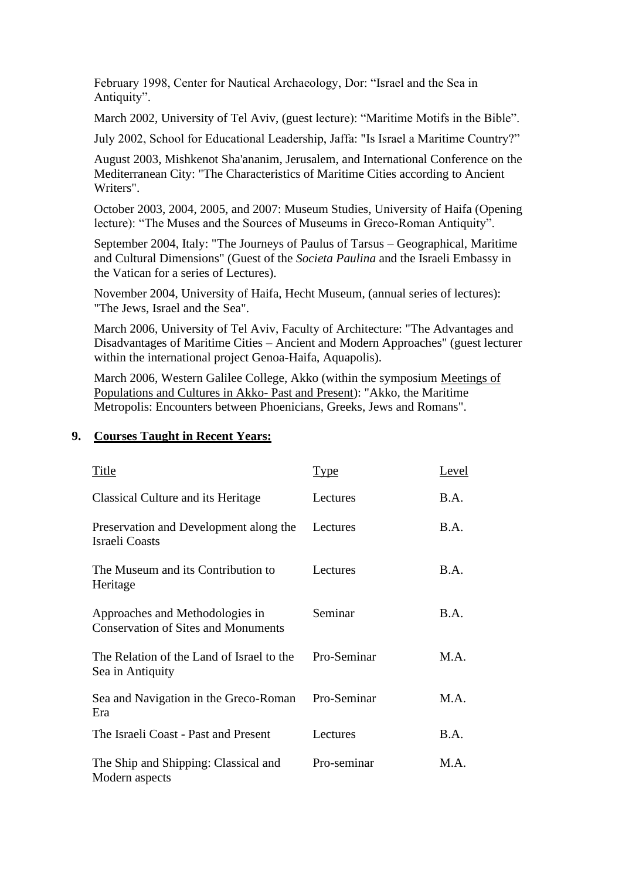February 1998, Center for Nautical Archaeology, Dor: "Israel and the Sea in Antiquity".

March 2002, University of Tel Aviv, (guest lecture): "Maritime Motifs in the Bible".

July 2002, School for Educational Leadership, Jaffa: "Is Israel a Maritime Country?"

August 2003, Mishkenot Sha'ananim, Jerusalem, and International Conference on the Mediterranean City: "The Characteristics of Maritime Cities according to Ancient Writers".

October 2003, 2004, 2005, and 2007: Museum Studies, University of Haifa (Opening lecture): "The Muses and the Sources of Museums in Greco-Roman Antiquity".

September 2004, Italy: "The Journeys of Paulus of Tarsus – Geographical, Maritime and Cultural Dimensions" (Guest of the *Societa Paulina* and the Israeli Embassy in the Vatican for a series of Lectures).

November 2004, University of Haifa, Hecht Museum, (annual series of lectures): "The Jews, Israel and the Sea".

March 2006, University of Tel Aviv, Faculty of Architecture: "The Advantages and Disadvantages of Maritime Cities – Ancient and Modern Approaches" (guest lecturer within the international project Genoa-Haifa, Aquapolis).

March 2006, Western Galilee College, Akko (within the symposium Meetings of Populations and Cultures in Akko- Past and Present): "Akko, the Maritime Metropolis: Encounters between Phoenicians, Greeks, Jews and Romans".

#### Title Level Classical Culture and its Heritage Preservation and Development along the Israeli Coasts The Museum and its Contribution to Heritage Approaches and Methodologies in Conservation of Sites and Monuments The Relation of the Land of Israel to the Sea in Antiquity Lectures Lectures Lectures Seminar Pro-Seminar B.A. B.A. B.A. B.A. M.A. Sea and Navigation in the Greco-Roman Era Pro-Seminar M.A. The Israeli Coast - Past and Present Lectures B.A. The Ship and Shipping: Classical and Modern aspects Pro-seminar M.A.

#### **9. Courses Taught in Recent Years:**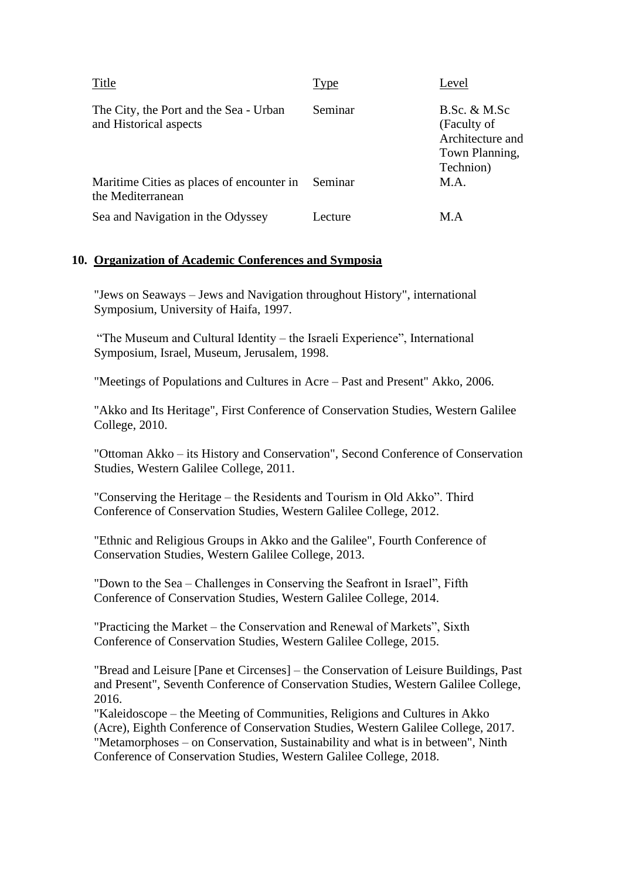| Title                                                            | Type    | Level                                                                          |
|------------------------------------------------------------------|---------|--------------------------------------------------------------------------------|
| The City, the Port and the Sea - Urban<br>and Historical aspects | Seminar | B.Sc. & M.Sc<br>(Faculty of<br>Architecture and<br>Town Planning,<br>Technion) |
| Maritime Cities as places of encounter in<br>the Mediterranean   | Seminar | M.A.                                                                           |
| Sea and Navigation in the Odyssey                                | Lecture | M.A                                                                            |

#### **10. Organization of Academic Conferences and Symposia**

"Jews on Seaways – Jews and Navigation throughout History", international Symposium, University of Haifa, 1997.

"The Museum and Cultural Identity – the Israeli Experience", International Symposium, Israel, Museum, Jerusalem, 1998.

"Meetings of Populations and Cultures in Acre – Past and Present" Akko, 2006.

"Akko and Its Heritage", First Conference of Conservation Studies, Western Galilee College, 2010.

"Ottoman Akko – its History and Conservation", Second Conference of Conservation Studies, Western Galilee College, 2011.

"Conserving the Heritage – the Residents and Tourism in Old Akko". Third Conference of Conservation Studies, Western Galilee College, 2012.

"Ethnic and Religious Groups in Akko and the Galilee", Fourth Conference of Conservation Studies, Western Galilee College, 2013.

"Down to the Sea – Challenges in Conserving the Seafront in Israel", Fifth Conference of Conservation Studies, Western Galilee College, 2014.

"Practicing the Market – the Conservation and Renewal of Markets", Sixth Conference of Conservation Studies, Western Galilee College, 2015.

"Bread and Leisure [Pane et Circenses] – the Conservation of Leisure Buildings, Past and Present", Seventh Conference of Conservation Studies, Western Galilee College, 2016.

"Kaleidoscope – the Meeting of Communities, Religions and Cultures in Akko (Acre), Eighth Conference of Conservation Studies, Western Galilee College, 2017. "Metamorphoses – on Conservation, Sustainability and what is in between", Ninth Conference of Conservation Studies, Western Galilee College, 2018.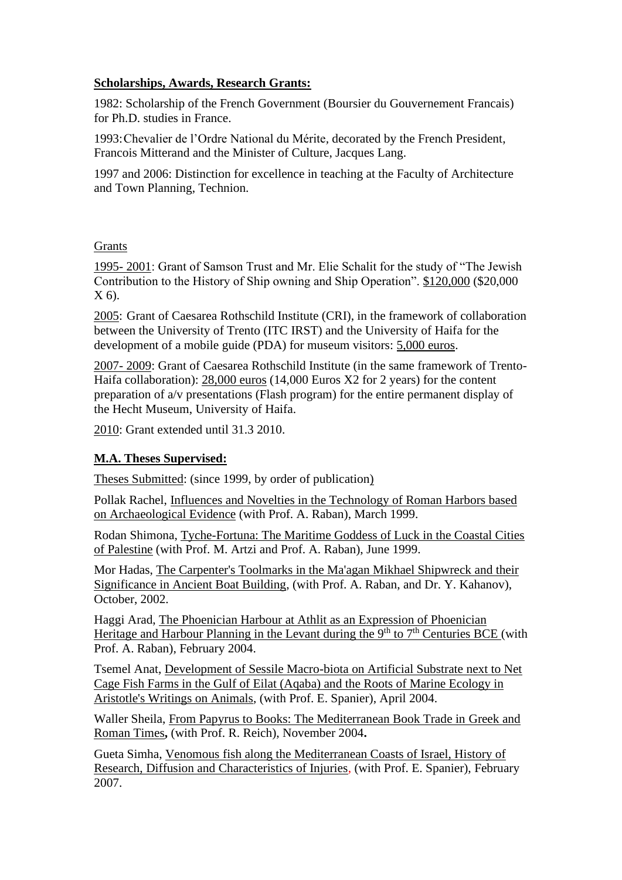### **Scholarships, Awards, Research Grants:**

1982: Scholarship of the French Government (Boursier du Gouvernement Francais) for Ph.D. studies in France.

1993:Chevalier de l'Ordre National du Mérite*,* decorated by the French President, Francois Mitterand and the Minister of Culture, Jacques Lang.

1997 and 2006: Distinction for excellence in teaching at the Faculty of Architecture and Town Planning, Technion.

#### Grants

1995- 2001: Grant of Samson Trust and Mr. Elie Schalit for the study of "The Jewish Contribution to the History of Ship owning and Ship Operation". \$120,000 (\$20,000 X 6).

2005: Grant of Caesarea Rothschild Institute (CRI), in the framework of collaboration between the University of Trento (ITC IRST) and the University of Haifa for the development of a mobile guide (PDA) for museum visitors: 5,000 euros.

2007- 2009: Grant of Caesarea Rothschild Institute (in the same framework of Trento-Haifa collaboration): 28,000 euros (14,000 Euros X2 for 2 years) for the content preparation of a/v presentations (Flash program) for the entire permanent display of the Hecht Museum, University of Haifa.

2010: Grant extended until 31.3 2010.

### **M.A. Theses Supervised:**

Theses Submitted: (since 1999, by order of publication)

Pollak Rachel, Influences and Novelties in the Technology of Roman Harbors based on Archaeological Evidence (with Prof. A. Raban), March 1999.

Rodan Shimona, Tyche-Fortuna: The Maritime Goddess of Luck in the Coastal Cities of Palestine (with Prof. M. Artzi and Prof. A. Raban), June 1999.

Mor Hadas, The Carpenter's Toolmarks in the Ma'agan Mikhael Shipwreck and their Significance in Ancient Boat Building, (with Prof. A. Raban, and Dr. Y. Kahanov), October, 2002.

Haggi Arad, The Phoenician Harbour at Athlit as an Expression of Phoenician Heritage and Harbour Planning in the Levant during the  $9<sup>th</sup>$  to  $7<sup>th</sup>$  Centuries BCE (with Prof. A. Raban), February 2004.

Tsemel Anat, Development of Sessile Macro-biota on Artificial Substrate next to Net Cage Fish Farms in the Gulf of Eilat (Aqaba) and the Roots of Marine Ecology in Aristotle's Writings on Animals, (with Prof. E. Spanier), April 2004.

Waller Sheila, From Papyrus to Books: The Mediterranean Book Trade in Greek and Roman Times**,** (with Prof. R. Reich), November 2004**.**

Gueta Simha, Venomous fish along the Mediterranean Coasts of Israel, History of Research, Diffusion and Characteristics of Injuries, (with Prof. E. Spanier), February 2007.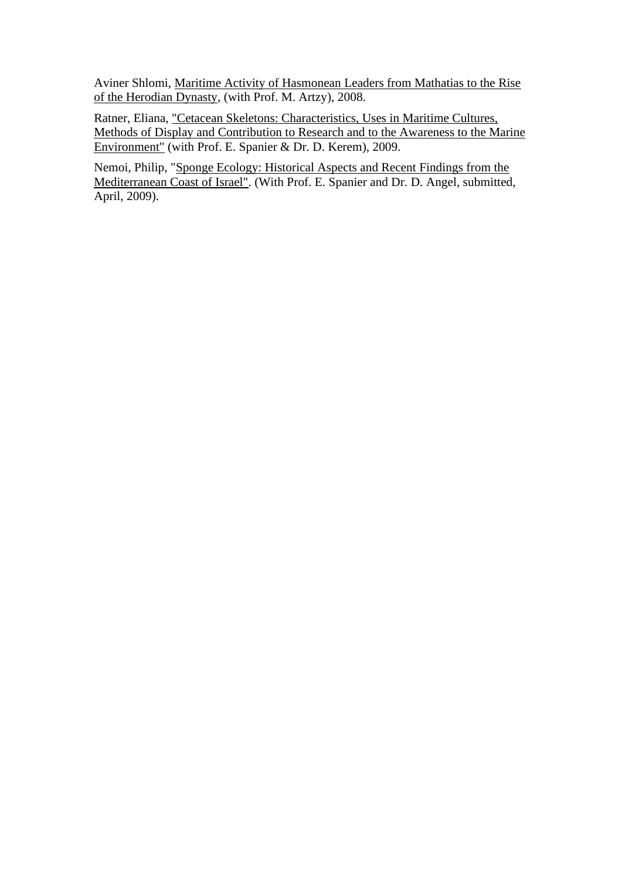Aviner Shlomi, Maritime Activity of Hasmonean Leaders from Mathatias to the Rise of the Herodian Dynasty, (with Prof. M. Artzy), 2008.

Ratner, Eliana, "Cetacean Skeletons: Characteristics, Uses in Maritime Cultures, Methods of Display and Contribution to Research and to the Awareness to the Marine Environment" (with Prof. E. Spanier & Dr. D. Kerem), 2009.

Nemoi, Philip, "Sponge Ecology: Historical Aspects and Recent Findings from the Mediterranean Coast of Israel". (With Prof. E. Spanier and Dr. D. Angel, submitted, April, 2009).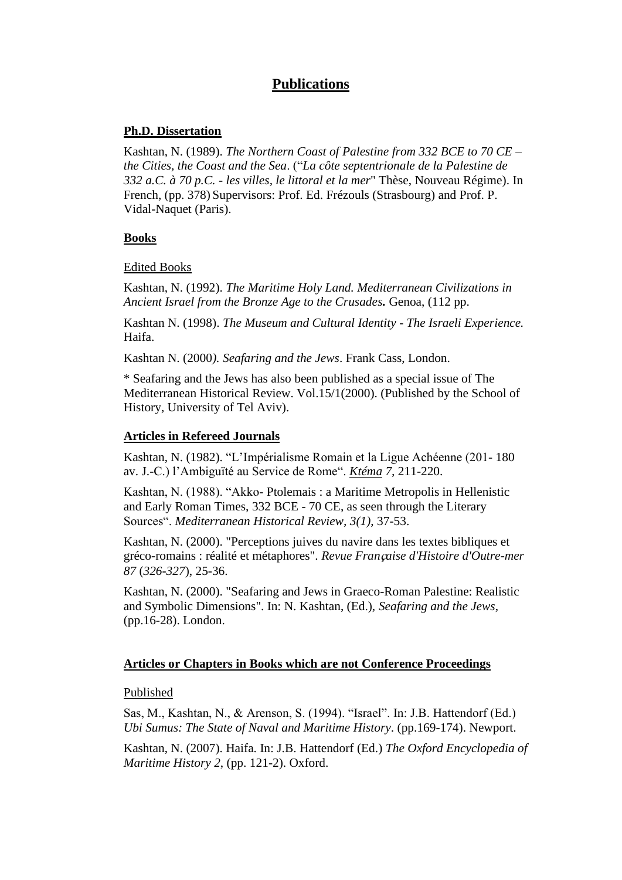# **Publications**

#### **Ph.D. Dissertation**

Kashtan, N. (1989). *The Northern Coast of Palestine from 332 BCE to 70 CE – the Cities, the Coast and the Sea*. ("*La côte septentrionale de la Palestine de 332 a.C. à 70 p.C. - les villes, le littoral et la mer*" Thèse, Nouveau Régime). In French, (pp. 378) Supervisors: Prof. Ed. Frézouls (Strasbourg) and Prof. P. Vidal-Naquet (Paris).

### **Books**

Edited Books

Kashtan, N. (1992). *The Maritime Holy Land. Mediterranean Civilizations in Ancient Israel from the Bronze Age to the Crusades.* Genoa, (112 pp.

Kashtan N. (1998). *The Museum and Cultural Identity - The Israeli Experience.*  Haifa.

Kashtan N. (2000*). Seafaring and the Jews*. Frank Cass, London.

\* Seafaring and the Jews has also been published as a special issue of The Mediterranean Historical Review. Vol.15/1(2000). (Published by the School of History, University of Tel Aviv).

#### **Articles in Refereed Journals**

Kashtan, N. (1982). "L'Impérialisme Romain et la Ligue Achéenne (201- 180 av. J.-C.) l'Ambiguïté au Service de Rome". *Ktéma 7,* 211-220.

Kashtan, N. (1988). "Akko- Ptolemais : a Maritime Metropolis in Hellenistic and Early Roman Times, 332 BCE - 70 CE, as seen through the Literary Sources". *Mediterranean Historical Review, 3(1)*, 37-53.

Kashtan, N. (2000). "Perceptions juives du navire dans les textes bibliques et gréco-romains : réalité et métaphores". *Revue Fran*ç*aise d'Histoire d'Outre-mer 87* (*326-327*), 25-36.

Kashtan, N. (2000). "Seafaring and Jews in Graeco-Roman Palestine: Realistic and Symbolic Dimensions". In: N. Kashtan, (Ed.), *Seafaring and the Jews*, (pp.16-28). London.

### **Articles or Chapters in Books which are not Conference Proceedings**

#### Published

Sas, M., Kashtan, N., & Arenson, S. (1994). "Israel". In: J.B. Hattendorf (Ed.) *Ubi Sumus: The State of Naval and Maritime History*. (pp.169-174). Newport.

Kashtan, N. (2007). Haifa. In: J.B. Hattendorf (Ed.) *The Oxford Encyclopedia of Maritime History 2*, (pp. 121-2). Oxford.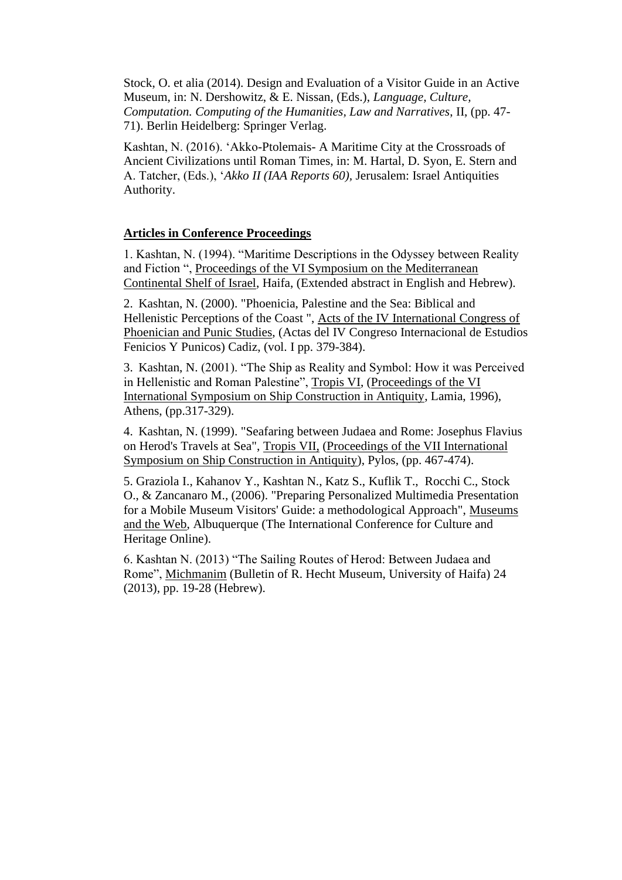Stock, O. et alia (2014). Design and Evaluation of a Visitor Guide in an Active Museum, in: N. Dershowitz, & E. Nissan, (Eds.), *Language, Culture, Computation. Computing of the Humanities, Law and Narratives*, II, (pp. 47- 71). Berlin Heidelberg: Springer Verlag.

Kashtan, N. (2016). 'Akko-Ptolemais- A Maritime City at the Crossroads of Ancient Civilizations until Roman Times, in: M. Hartal, D. Syon, E. Stern and A. Tatcher, (Eds.), '*Akko II (IAA Reports 60),* Jerusalem: Israel Antiquities Authority.

#### **Articles in Conference Proceedings**

1. Kashtan, N. (1994). "Maritime Descriptions in the Odyssey between Reality and Fiction ", Proceedings of the VI Symposium on the Mediterranean Continental Shelf of Israel, Haifa, (Extended abstract in English and Hebrew).

2. Kashtan, N. (2000). "Phoenicia, Palestine and the Sea: Biblical and Hellenistic Perceptions of the Coast ", Acts of the IV International Congress of Phoenician and Punic Studies, (Actas del IV Congreso Internacional de Estudios Fenicios Y Punicos) Cadiz, (vol. I pp. 379-384).

3. Kashtan, N. (2001). "The Ship as Reality and Symbol: How it was Perceived in Hellenistic and Roman Palestine", Tropis VI, (Proceedings of the VI International Symposium on Ship Construction in Antiquity, Lamia, 1996), Athens, (pp.317-329).

4. Kashtan, N. (1999). "Seafaring between Judaea and Rome: Josephus Flavius on Herod's Travels at Sea", Tropis VII, (Proceedings of the VII International Symposium on Ship Construction in Antiquity), Pylos, (pp. 467-474).

5. Graziola I., Kahanov Y., Kashtan N., Katz S., Kuflik T., Rocchi C., Stock O., & Zancanaro M., (2006). "Preparing Personalized Multimedia Presentation for a Mobile Museum Visitors' Guide: a methodological Approach", Museums and the Web, Albuquerque (The International Conference for Culture and Heritage Online).

6. Kashtan N. (2013) "The Sailing Routes of Herod: Between Judaea and Rome", Michmanim (Bulletin of R. Hecht Museum, University of Haifa) 24 (2013), pp. 19-28 (Hebrew).